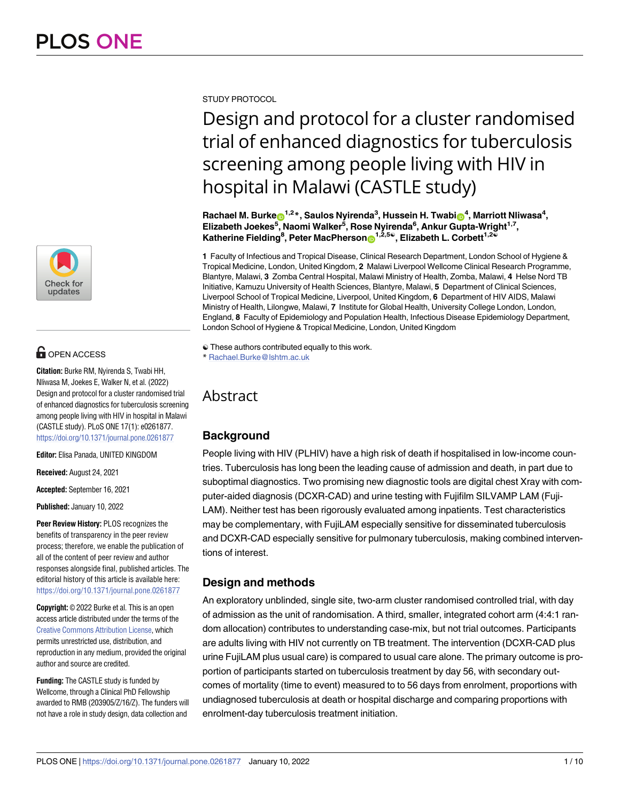

# **OPEN ACCESS**

**Citation:** Burke RM, Nyirenda S, Twabi HH, Nliwasa M, Joekes E, Walker N, et al. (2022) Design and protocol for a cluster randomised trial of enhanced diagnostics for tuberculosis screening among people living with HIV in hospital in Malawi (CASTLE study). PLoS ONE 17(1): e0261877. <https://doi.org/10.1371/journal.pone.0261877>

**Editor:** Elisa Panada, UNITED KINGDOM

**Received:** August 24, 2021

**Accepted:** September 16, 2021

**Published:** January 10, 2022

**Peer Review History:** PLOS recognizes the benefits of transparency in the peer review process; therefore, we enable the publication of all of the content of peer review and author responses alongside final, published articles. The editorial history of this article is available here: <https://doi.org/10.1371/journal.pone.0261877>

**Copyright:** © 2022 Burke et al. This is an open access article distributed under the terms of the Creative Commons [Attribution](http://creativecommons.org/licenses/by/4.0/) License, which permits unrestricted use, distribution, and reproduction in any medium, provided the original author and source are credited.

**Funding:** The CASTLE study is funded by Wellcome, through a Clinical PhD Fellowship awarded to RMB (203905/Z/16/Z). The funders will not have a role in study design, data collection and

STUDY PROTOCOL

# Design and protocol for a cluster randomised trial of enhanced diagnostics for tuberculosis screening among people living with HIV in hospital in Malawi (CASTLE study)

 $\mathsf{Rachael}\ \mathsf{M}\ \mathsf{Burke} \mathsf{D}^{1,2} \ast$ , Saulos Nyirenda $^3$ , Hussein H. Twabi $\mathsf{D}^4$ , Marriott Nliwasa $^4$ , **Elizabeth Joekes5 , Naomi Walker5 , Rose Nyirenda6 , Ankur Gupta-Wright1,7,**  $\mathsf{K}$ atherine Fielding<sup>8</sup>, Peter MacPherson $\mathsf{D}^{1,2,5}$ , Elizabeth L. Corbett $^{1,2}$ 

**1** Faculty of Infectious and Tropical Disease, Clinical Research Department, London School of Hygiene & Tropical Medicine, London, United Kingdom, **2** Malawi Liverpool Wellcome Clinical Research Programme, Blantyre, Malawi, **3** Zomba Central Hospital, Malawi Ministry of Health, Zomba, Malawi, **4** Helse Nord TB Initiative, Kamuzu University of Health Sciences, Blantyre, Malawi, **5** Department of Clinical Sciences, Liverpool School of Tropical Medicine, Liverpool, United Kingdom, **6** Department of HIV AIDS, Malawi Ministry of Health, Lilongwe, Malawi, **7** Institute for Global Health, University College London, London, England, **8** Faculty of Epidemiology and Population Health, Infectious Disease Epidemiology Department, London School of Hygiene & Tropical Medicine, London, United Kingdom

# Abstract

# **Background**

People living with HIV (PLHIV) have a high risk of death if hospitalised in low-income countries. Tuberculosis has long been the leading cause of admission and death, in part due to suboptimal diagnostics. Two promising new diagnostic tools are digital chest Xray with computer-aided diagnosis (DCXR-CAD) and urine testing with Fujifilm SILVAMP LAM (Fuji-LAM). Neither test has been rigorously evaluated among inpatients. Test characteristics may be complementary, with FujiLAM especially sensitive for disseminated tuberculosis and DCXR-CAD especially sensitive for pulmonary tuberculosis, making combined interventions of interest.

# **Design and methods**

An exploratory unblinded, single site, two-arm cluster randomised controlled trial, with day of admission as the unit of randomisation. A third, smaller, integrated cohort arm (4:4:1 random allocation) contributes to understanding case-mix, but not trial outcomes. Participants are adults living with HIV not currently on TB treatment. The intervention (DCXR-CAD plus urine FujiLAM plus usual care) is compared to usual care alone. The primary outcome is proportion of participants started on tuberculosis treatment by day 56, with secondary outcomes of mortality (time to event) measured to to 56 days from enrolment, proportions with undiagnosed tuberculosis at death or hospital discharge and comparing proportions with enrolment-day tuberculosis treatment initiation.

<sup>☯</sup> These authors contributed equally to this work.

<sup>\*</sup> Rachael.Burke@lshtm.ac.uk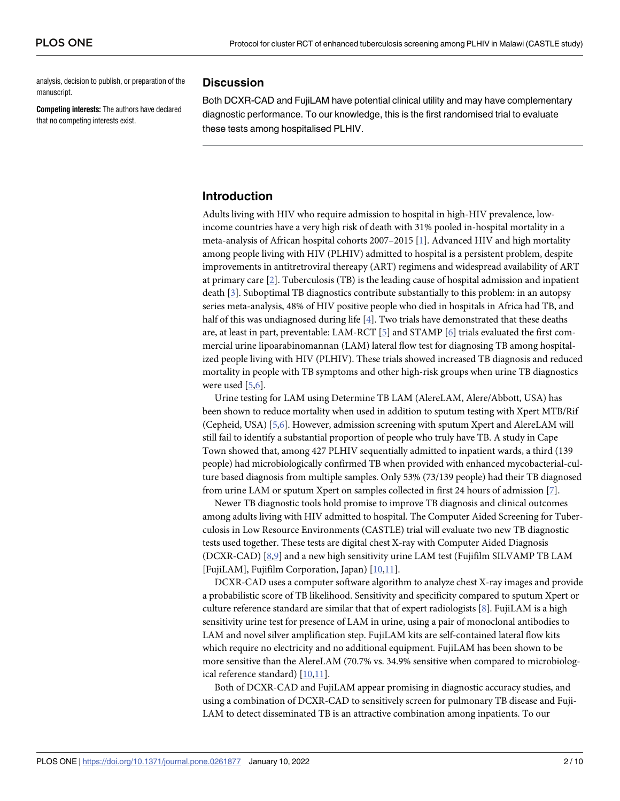<span id="page-1-0"></span>analysis, decision to publish, or preparation of the manuscript.

**Competing interests:** The authors have declared that no competing interests exist.

# **Discussion**

Both DCXR-CAD and FujiLAM have potential clinical utility and may have complementary diagnostic performance. To our knowledge, this is the first randomised trial to evaluate these tests among hospitalised PLHIV.

## **Introduction**

Adults living with HIV who require admission to hospital in high-HIV prevalence, lowincome countries have a very high risk of death with 31% pooled in-hospital mortality in a meta-analysis of African hospital cohorts 2007–2015 [[1\]](#page-8-0). Advanced HIV and high mortality among people living with HIV (PLHIV) admitted to hospital is a persistent problem, despite improvements in antitretroviral thereapy (ART) regimens and widespread availability of ART at primary care [\[2\]](#page-8-0). Tuberculosis (TB) is the leading cause of hospital admission and inpatient death [[3](#page-8-0)]. Suboptimal TB diagnostics contribute substantially to this problem: in an autopsy series meta-analysis, 48% of HIV positive people who died in hospitals in Africa had TB, and half of this was undiagnosed during life [[4\]](#page-8-0). Two trials have demonstrated that these deaths are, at least in part, preventable: LAM-RCT [\[5](#page-8-0)] and STAMP [[6\]](#page-8-0) trials evaluated the first commercial urine lipoarabinomannan (LAM) lateral flow test for diagnosing TB among hospitalized people living with HIV (PLHIV). These trials showed increased TB diagnosis and reduced mortality in people with TB symptoms and other high-risk groups when urine TB diagnostics were used [\[5,6\]](#page-8-0).

Urine testing for LAM using Determine TB LAM (AlereLAM, Alere/Abbott, USA) has been shown to reduce mortality when used in addition to sputum testing with Xpert MTB/Rif (Cepheid, USA) [\[5,6\]](#page-8-0). However, admission screening with sputum Xpert and AlereLAM will still fail to identify a substantial proportion of people who truly have TB. A study in Cape Town showed that, among 427 PLHIV sequentially admitted to inpatient wards, a third (139 people) had microbiologically confirmed TB when provided with enhanced mycobacterial-culture based diagnosis from multiple samples. Only 53% (73/139 people) had their TB diagnosed from urine LAM or sputum Xpert on samples collected in first 24 hours of admission [[7\]](#page-8-0).

Newer TB diagnostic tools hold promise to improve TB diagnosis and clinical outcomes among adults living with HIV admitted to hospital. The Computer Aided Screening for Tuberculosis in Low Resource Environments (CASTLE) trial will evaluate two new TB diagnostic tests used together. These tests are digital chest X-ray with Computer Aided Diagnosis (DCXR-CAD) [[8,9](#page-8-0)] and a new high sensitivity urine LAM test (Fujifilm SILVAMP TB LAM [FujiLAM], Fujifilm Corporation, Japan) [\[10,11\]](#page-8-0).

DCXR-CAD uses a computer software algorithm to analyze chest X-ray images and provide a probabilistic score of TB likelihood. Sensitivity and specificity compared to sputum Xpert or culture reference standard are similar that that of expert radiologists [[8\]](#page-8-0). FujiLAM is a high sensitivity urine test for presence of LAM in urine, using a pair of monoclonal antibodies to LAM and novel silver amplification step. FujiLAM kits are self-contained lateral flow kits which require no electricity and no additional equipment. FujiLAM has been shown to be more sensitive than the AlereLAM (70.7% vs. 34.9% sensitive when compared to microbiological reference standard) [\[10,11](#page-8-0)].

Both of DCXR-CAD and FujiLAM appear promising in diagnostic accuracy studies, and using a combination of DCXR-CAD to sensitively screen for pulmonary TB disease and Fuji-LAM to detect disseminated TB is an attractive combination among inpatients. To our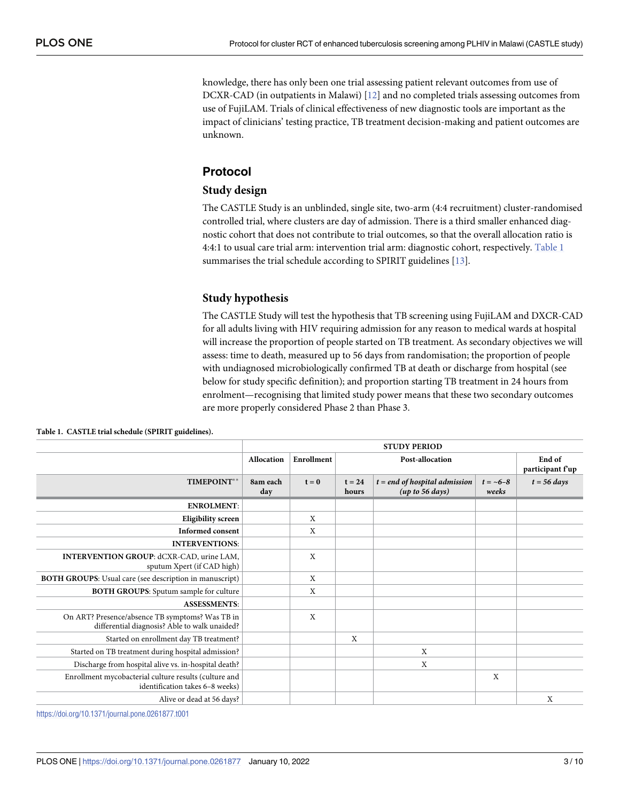<span id="page-2-0"></span>knowledge, there has only been one trial assessing patient relevant outcomes from use of DCXR-CAD (in outpatients in Malawi) [\[12\]](#page-8-0) and no completed trials assessing outcomes from use of FujiLAM. Trials of clinical effectiveness of new diagnostic tools are important as the impact of clinicians' testing practice, TB treatment decision-making and patient outcomes are unknown.

# **Protocol**

## **Study design**

The CASTLE Study is an unblinded, single site, two-arm (4:4 recruitment) cluster-randomised controlled trial, where clusters are day of admission. There is a third smaller enhanced diagnostic cohort that does not contribute to trial outcomes, so that the overall allocation ratio is 4:4:1 to usual care trial arm: intervention trial arm: diagnostic cohort, respectively. Table 1 summarises the trial schedule according to SPIRIT guidelines [[13](#page-9-0)].

# **Study hypothesis**

The CASTLE Study will test the hypothesis that TB screening using FujiLAM and DXCR-CAD for all adults living with HIV requiring admission for any reason to medical wards at hospital will increase the proportion of people started on TB treatment. As secondary objectives we will assess: time to death, measured up to 56 days from randomisation; the proportion of people with undiagnosed microbiologically confirmed TB at death or discharge from hospital (see below for study specific definition); and proportion starting TB treatment in 24 hours from enrolment—recognising that limited study power means that these two secondary outcomes are more properly considered Phase 2 than Phase 3.

|                                                                                                  | <b>STUDY PERIOD</b> |            |                   |                                                    |                       |                            |
|--------------------------------------------------------------------------------------------------|---------------------|------------|-------------------|----------------------------------------------------|-----------------------|----------------------------|
|                                                                                                  | <b>Allocation</b>   | Enrollment | Post-allocation   |                                                    |                       | End of<br>participant f'up |
| TIMEPOINT**                                                                                      | 8am each<br>day     | $t = 0$    | $t = 24$<br>hours | $t = end$ of hospital admission<br>(up to 56 days) | $t = -6 - 8$<br>weeks | $t = 56 \; days$           |
| <b>ENROLMENT:</b>                                                                                |                     |            |                   |                                                    |                       |                            |
| Eligibility screen                                                                               |                     | X          |                   |                                                    |                       |                            |
| <b>Informed consent</b>                                                                          |                     | X          |                   |                                                    |                       |                            |
| <b>INTERVENTIONS:</b>                                                                            |                     |            |                   |                                                    |                       |                            |
| INTERVENTION GROUP: dCXR-CAD, urine LAM,<br>sputum Xpert (if CAD high)                           |                     | X          |                   |                                                    |                       |                            |
| BOTH GROUPS: Usual care (see description in manuscript)                                          |                     | X          |                   |                                                    |                       |                            |
| <b>BOTH GROUPS:</b> Sputum sample for culture                                                    |                     | X          |                   |                                                    |                       |                            |
| <b>ASSESSMENTS:</b>                                                                              |                     |            |                   |                                                    |                       |                            |
| On ART? Presence/absence TB symptoms? Was TB in<br>differential diagnosis? Able to walk unaided? |                     | X          |                   |                                                    |                       |                            |
| Started on enrollment day TB treatment?                                                          |                     |            | X                 |                                                    |                       |                            |
| Started on TB treatment during hospital admission?                                               |                     |            |                   | X                                                  |                       |                            |
| Discharge from hospital alive vs. in-hospital death?                                             |                     |            |                   | X                                                  |                       |                            |
| Enrollment mycobacterial culture results (culture and<br>identification takes 6-8 weeks)         |                     |            |                   |                                                    | X                     |                            |
| Alive or dead at 56 days?                                                                        |                     |            |                   |                                                    |                       | X                          |

**Table 1. CASTLE trial schedule (SPIRIT guidelines).**

<https://doi.org/10.1371/journal.pone.0261877.t001>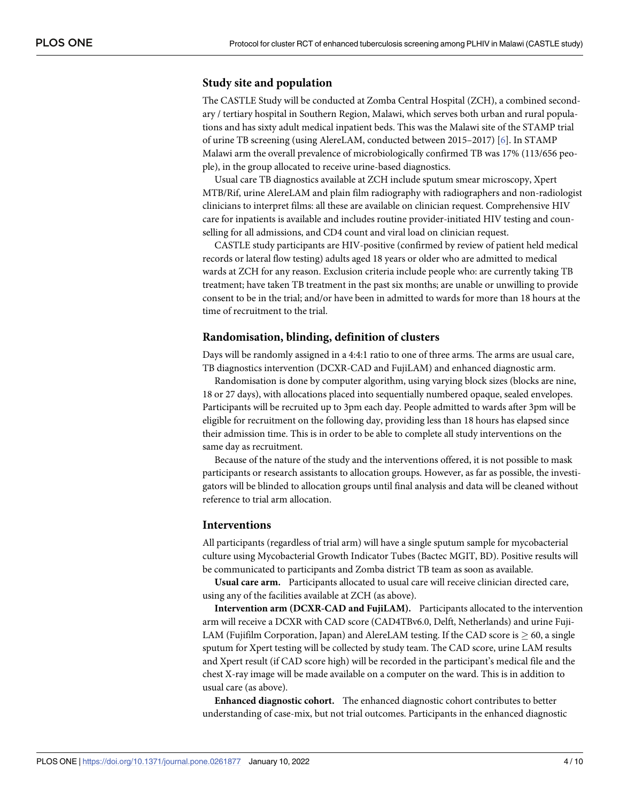#### **Study site and population**

The CASTLE Study will be conducted at Zomba Central Hospital (ZCH), a combined secondary / tertiary hospital in Southern Region, Malawi, which serves both urban and rural populations and has sixty adult medical inpatient beds. This was the Malawi site of the STAMP trial of urine TB screening (using AlereLAM, conducted between 2015–2017) [[6](#page-8-0)]. In STAMP Malawi arm the overall prevalence of microbiologically confirmed TB was 17% (113/656 people), in the group allocated to receive urine-based diagnostics.

Usual care TB diagnostics available at ZCH include sputum smear microscopy, Xpert MTB/Rif, urine AlereLAM and plain film radiography with radiographers and non-radiologist clinicians to interpret films: all these are available on clinician request. Comprehensive HIV care for inpatients is available and includes routine provider-initiated HIV testing and counselling for all admissions, and CD4 count and viral load on clinician request.

CASTLE study participants are HIV-positive (confirmed by review of patient held medical records or lateral flow testing) adults aged 18 years or older who are admitted to medical wards at ZCH for any reason. Exclusion criteria include people who: are currently taking TB treatment; have taken TB treatment in the past six months; are unable or unwilling to provide consent to be in the trial; and/or have been in admitted to wards for more than 18 hours at the time of recruitment to the trial.

#### **Randomisation, blinding, definition of clusters**

Days will be randomly assigned in a 4:4:1 ratio to one of three arms. The arms are usual care, TB diagnostics intervention (DCXR-CAD and FujiLAM) and enhanced diagnostic arm.

Randomisation is done by computer algorithm, using varying block sizes (blocks are nine, 18 or 27 days), with allocations placed into sequentially numbered opaque, sealed envelopes. Participants will be recruited up to 3pm each day. People admitted to wards after 3pm will be eligible for recruitment on the following day, providing less than 18 hours has elapsed since their admission time. This is in order to be able to complete all study interventions on the same day as recruitment.

Because of the nature of the study and the interventions offered, it is not possible to mask participants or research assistants to allocation groups. However, as far as possible, the investigators will be blinded to allocation groups until final analysis and data will be cleaned without reference to trial arm allocation.

#### **Interventions**

All participants (regardless of trial arm) will have a single sputum sample for mycobacterial culture using Mycobacterial Growth Indicator Tubes (Bactec MGIT, BD). Positive results will be communicated to participants and Zomba district TB team as soon as available.

**Usual care arm.** Participants allocated to usual care will receive clinician directed care, using any of the facilities available at ZCH (as above).

**Intervention arm (DCXR-CAD and FujiLAM).** Participants allocated to the intervention arm will receive a DCXR with CAD score (CAD4TBv6.0, Delft, Netherlands) and urine Fuji-LAM (Fujifilm Corporation, Japan) and AlereLAM testing. If the CAD score is  $\geq 60$ , a single sputum for Xpert testing will be collected by study team. The CAD score, urine LAM results and Xpert result (if CAD score high) will be recorded in the participant's medical file and the chest X-ray image will be made available on a computer on the ward. This is in addition to usual care (as above).

**Enhanced diagnostic cohort.** The enhanced diagnostic cohort contributes to better understanding of case-mix, but not trial outcomes. Participants in the enhanced diagnostic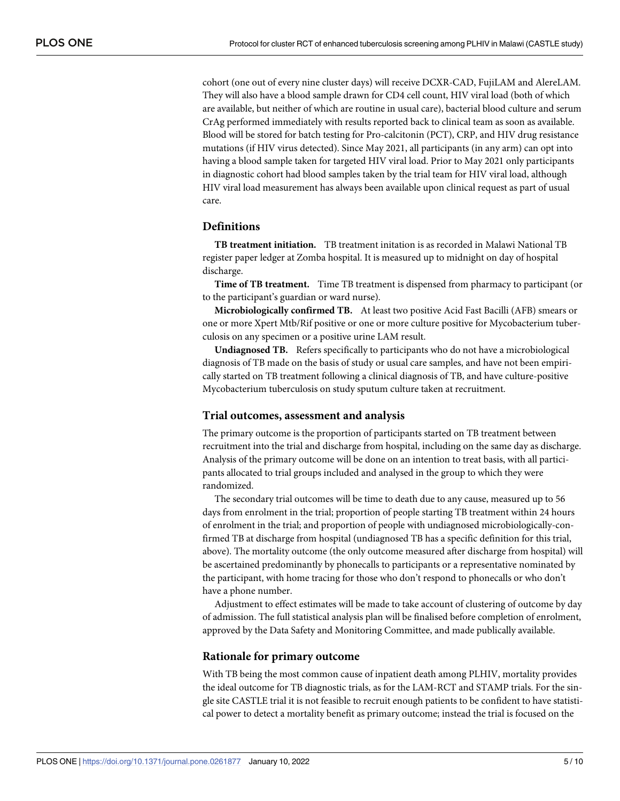cohort (one out of every nine cluster days) will receive DCXR-CAD, FujiLAM and AlereLAM. They will also have a blood sample drawn for CD4 cell count, HIV viral load (both of which are available, but neither of which are routine in usual care), bacterial blood culture and serum CrAg performed immediately with results reported back to clinical team as soon as available. Blood will be stored for batch testing for Pro-calcitonin (PCT), CRP, and HIV drug resistance mutations (if HIV virus detected). Since May 2021, all participants (in any arm) can opt into having a blood sample taken for targeted HIV viral load. Prior to May 2021 only participants in diagnostic cohort had blood samples taken by the trial team for HIV viral load, although HIV viral load measurement has always been available upon clinical request as part of usual care.

#### **Definitions**

**TB treatment initiation.** TB treatment initation is as recorded in Malawi National TB register paper ledger at Zomba hospital. It is measured up to midnight on day of hospital discharge.

**Time of TB treatment.** Time TB treatment is dispensed from pharmacy to participant (or to the participant's guardian or ward nurse).

**Microbiologically confirmed TB.** At least two positive Acid Fast Bacilli (AFB) smears or one or more Xpert Mtb/Rif positive or one or more culture positive for Mycobacterium tuberculosis on any specimen or a positive urine LAM result.

**Undiagnosed TB.** Refers specifically to participants who do not have a microbiological diagnosis of TB made on the basis of study or usual care samples, and have not been empirically started on TB treatment following a clinical diagnosis of TB, and have culture-positive Mycobacterium tuberculosis on study sputum culture taken at recruitment.

#### **Trial outcomes, assessment and analysis**

The primary outcome is the proportion of participants started on TB treatment between recruitment into the trial and discharge from hospital, including on the same day as discharge. Analysis of the primary outcome will be done on an intention to treat basis, with all participants allocated to trial groups included and analysed in the group to which they were randomized.

The secondary trial outcomes will be time to death due to any cause, measured up to 56 days from enrolment in the trial; proportion of people starting TB treatment within 24 hours of enrolment in the trial; and proportion of people with undiagnosed microbiologically-confirmed TB at discharge from hospital (undiagnosed TB has a specific definition for this trial, above). The mortality outcome (the only outcome measured after discharge from hospital) will be ascertained predominantly by phonecalls to participants or a representative nominated by the participant, with home tracing for those who don't respond to phonecalls or who don't have a phone number.

Adjustment to effect estimates will be made to take account of clustering of outcome by day of admission. The full statistical analysis plan will be finalised before completion of enrolment, approved by the Data Safety and Monitoring Committee, and made publically available.

#### **Rationale for primary outcome**

With TB being the most common cause of inpatient death among PLHIV, mortality provides the ideal outcome for TB diagnostic trials, as for the LAM-RCT and STAMP trials. For the single site CASTLE trial it is not feasible to recruit enough patients to be confident to have statistical power to detect a mortality benefit as primary outcome; instead the trial is focused on the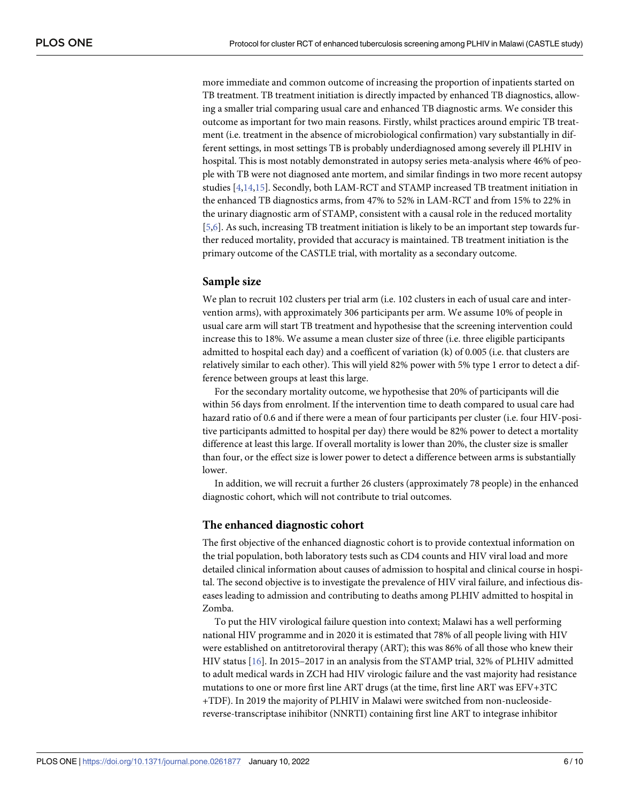<span id="page-5-0"></span>more immediate and common outcome of increasing the proportion of inpatients started on TB treatment. TB treatment initiation is directly impacted by enhanced TB diagnostics, allowing a smaller trial comparing usual care and enhanced TB diagnostic arms. We consider this outcome as important for two main reasons. Firstly, whilst practices around empiric TB treatment (i.e. treatment in the absence of microbiological confirmation) vary substantially in different settings, in most settings TB is probably underdiagnosed among severely ill PLHIV in hospital. This is most notably demonstrated in autopsy series meta-analysis where 46% of people with TB were not diagnosed ante mortem, and similar findings in two more recent autopsy studies [\[4](#page-8-0)[,14,15\]](#page-9-0). Secondly, both LAM-RCT and STAMP increased TB treatment initiation in the enhanced TB diagnostics arms, from 47% to 52% in LAM-RCT and from 15% to 22% in the urinary diagnostic arm of STAMP, consistent with a causal role in the reduced mortality [\[5,6](#page-8-0)]. As such, increasing TB treatment initiation is likely to be an important step towards further reduced mortality, provided that accuracy is maintained. TB treatment initiation is the primary outcome of the CASTLE trial, with mortality as a secondary outcome.

#### **Sample size**

We plan to recruit 102 clusters per trial arm (i.e. 102 clusters in each of usual care and intervention arms), with approximately 306 participants per arm. We assume 10% of people in usual care arm will start TB treatment and hypothesise that the screening intervention could increase this to 18%. We assume a mean cluster size of three (i.e. three eligible participants admitted to hospital each day) and a coefficent of variation (k) of 0.005 (i.e. that clusters are relatively similar to each other). This will yield 82% power with 5% type 1 error to detect a difference between groups at least this large.

For the secondary mortality outcome, we hypothesise that 20% of participants will die within 56 days from enrolment. If the intervention time to death compared to usual care had hazard ratio of 0.6 and if there were a mean of four participants per cluster (i.e. four HIV-positive participants admitted to hospital per day) there would be 82% power to detect a mortality difference at least this large. If overall mortality is lower than 20%, the cluster size is smaller than four, or the effect size is lower power to detect a difference between arms is substantially lower.

In addition, we will recruit a further 26 clusters (approximately 78 people) in the enhanced diagnostic cohort, which will not contribute to trial outcomes.

#### **The enhanced diagnostic cohort**

The first objective of the enhanced diagnostic cohort is to provide contextual information on the trial population, both laboratory tests such as CD4 counts and HIV viral load and more detailed clinical information about causes of admission to hospital and clinical course in hospital. The second objective is to investigate the prevalence of HIV viral failure, and infectious diseases leading to admission and contributing to deaths among PLHIV admitted to hospital in Zomba.

To put the HIV virological failure question into context; Malawi has a well performing national HIV programme and in 2020 it is estimated that 78% of all people living with HIV were established on antitretoroviral therapy (ART); this was 86% of all those who knew their HIV status [[16](#page-9-0)]. In 2015–2017 in an analysis from the STAMP trial, 32% of PLHIV admitted to adult medical wards in ZCH had HIV virologic failure and the vast majority had resistance mutations to one or more first line ART drugs (at the time, first line ART was EFV+3TC +TDF). In 2019 the majority of PLHIV in Malawi were switched from non-nucleosidereverse-transcriptase inihibitor (NNRTI) containing first line ART to integrase inhibitor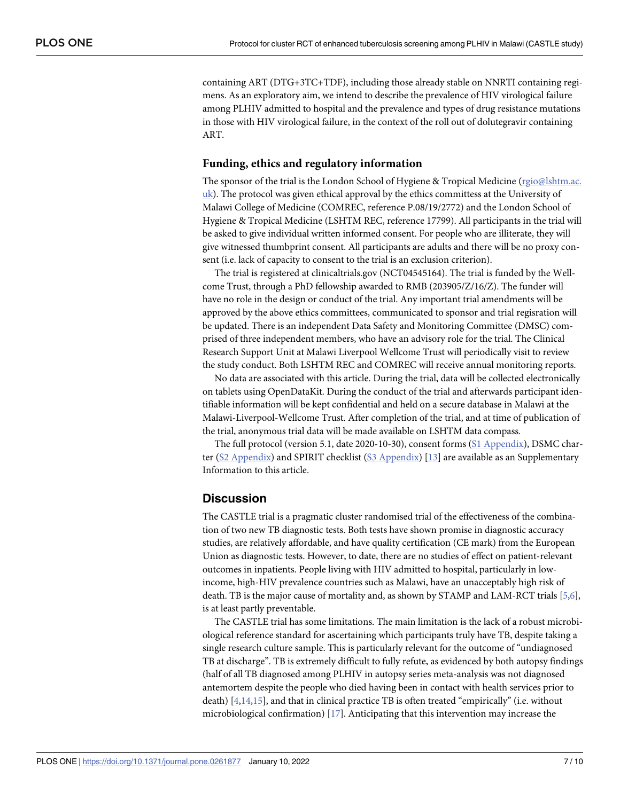<span id="page-6-0"></span>containing ART (DTG+3TC+TDF), including those already stable on NNRTI containing regimens. As an exploratory aim, we intend to describe the prevalence of HIV virological failure among PLHIV admitted to hospital and the prevalence and types of drug resistance mutations in those with HIV virological failure, in the context of the roll out of dolutegravir containing ART.

#### **Funding, ethics and regulatory information**

The sponsor of the trial is the London School of Hygiene & Tropical Medicine (rgio@lshtm.ac. uk). The protocol was given ethical approval by the ethics committess at the University of Malawi College of Medicine (COMREC, reference P.08/19/2772) and the London School of Hygiene & Tropical Medicine (LSHTM REC, reference 17799). All participants in the trial will be asked to give individual written informed consent. For people who are illiterate, they will give witnessed thumbprint consent. All participants are adults and there will be no proxy consent (i.e. lack of capacity to consent to the trial is an exclusion criterion).

The trial is registered at clinicaltrials.gov (NCT04545164). The trial is funded by the Wellcome Trust, through a PhD fellowship awarded to RMB (203905/Z/16/Z). The funder will have no role in the design or conduct of the trial. Any important trial amendments will be approved by the above ethics committees, communicated to sponsor and trial regisration will be updated. There is an independent Data Safety and Monitoring Committee (DMSC) comprised of three independent members, who have an advisory role for the trial. The Clinical Research Support Unit at Malawi Liverpool Wellcome Trust will periodically visit to review the study conduct. Both LSHTM REC and COMREC will receive annual monitoring reports.

No data are associated with this article. During the trial, data will be collected electronically on tablets using OpenDataKit. During the conduct of the trial and afterwards participant identifiable information will be kept confidential and held on a secure database in Malawi at the Malawi-Liverpool-Wellcome Trust. After completion of the trial, and at time of publication of the trial, anonymous trial data will be made available on LSHTM data compass.

The full protocol (version 5.1, date 2020-10-30), consent forms (S1 [Appendix](#page-7-0)), DSMC charter (S2 [Appendix\)](#page-7-0) and SPIRIT checklist (S3 [Appendix\)](#page-7-0) [[13](#page-9-0)] are available as an Supplementary Information to this article.

## **Discussion**

The CASTLE trial is a pragmatic cluster randomised trial of the effectiveness of the combination of two new TB diagnostic tests. Both tests have shown promise in diagnostic accuracy studies, are relatively affordable, and have quality certification (CE mark) from the European Union as diagnostic tests. However, to date, there are no studies of effect on patient-relevant outcomes in inpatients. People living with HIV admitted to hospital, particularly in lowincome, high-HIV prevalence countries such as Malawi, have an unacceptably high risk of death. TB is the major cause of mortality and, as shown by STAMP and LAM-RCT trials [\[5,6\]](#page-8-0), is at least partly preventable.

The CASTLE trial has some limitations. The main limitation is the lack of a robust microbiological reference standard for ascertaining which participants truly have TB, despite taking a single research culture sample. This is particularly relevant for the outcome of "undiagnosed TB at discharge". TB is extremely difficult to fully refute, as evidenced by both autopsy findings (half of all TB diagnosed among PLHIV in autopsy series meta-analysis was not diagnosed antemortem despite the people who died having been in contact with health services prior to death)  $[4,14,15]$  $[4,14,15]$  $[4,14,15]$ , and that in clinical practice TB is often treated "empirically" (i.e. without microbiological confirmation)  $[17]$  $[17]$  $[17]$ . Anticipating that this intervention may increase the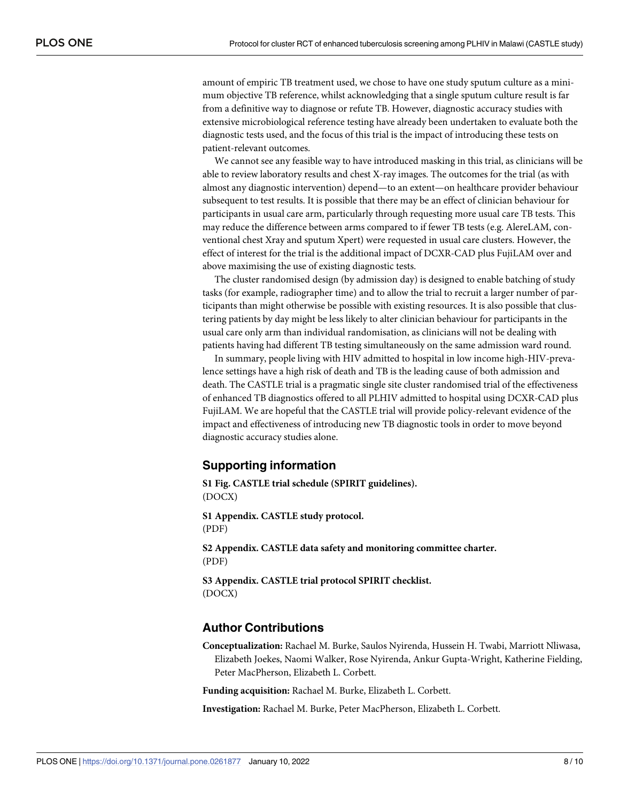<span id="page-7-0"></span>amount of empiric TB treatment used, we chose to have one study sputum culture as a minimum objective TB reference, whilst acknowledging that a single sputum culture result is far from a definitive way to diagnose or refute TB. However, diagnostic accuracy studies with extensive microbiological reference testing have already been undertaken to evaluate both the diagnostic tests used, and the focus of this trial is the impact of introducing these tests on patient-relevant outcomes.

We cannot see any feasible way to have introduced masking in this trial, as clinicians will be able to review laboratory results and chest X-ray images. The outcomes for the trial (as with almost any diagnostic intervention) depend—to an extent—on healthcare provider behaviour subsequent to test results. It is possible that there may be an effect of clinician behaviour for participants in usual care arm, particularly through requesting more usual care TB tests. This may reduce the difference between arms compared to if fewer TB tests (e.g. AlereLAM, conventional chest Xray and sputum Xpert) were requested in usual care clusters. However, the effect of interest for the trial is the additional impact of DCXR-CAD plus FujiLAM over and above maximising the use of existing diagnostic tests.

The cluster randomised design (by admission day) is designed to enable batching of study tasks (for example, radiographer time) and to allow the trial to recruit a larger number of participants than might otherwise be possible with existing resources. It is also possible that clustering patients by day might be less likely to alter clinician behaviour for participants in the usual care only arm than individual randomisation, as clinicians will not be dealing with patients having had different TB testing simultaneously on the same admission ward round.

In summary, people living with HIV admitted to hospital in low income high-HIV-prevalence settings have a high risk of death and TB is the leading cause of both admission and death. The CASTLE trial is a pragmatic single site cluster randomised trial of the effectiveness of enhanced TB diagnostics offered to all PLHIV admitted to hospital using DCXR-CAD plus FujiLAM. We are hopeful that the CASTLE trial will provide policy-relevant evidence of the impact and effectiveness of introducing new TB diagnostic tools in order to move beyond diagnostic accuracy studies alone.

#### **Supporting information**

**S1 [Fig](http://www.plosone.org/article/fetchSingleRepresentation.action?uri=info:doi/10.1371/journal.pone.0261877.s001). CASTLE trial schedule (SPIRIT guidelines).** (DOCX)

**S1 [Appendix](http://www.plosone.org/article/fetchSingleRepresentation.action?uri=info:doi/10.1371/journal.pone.0261877.s002). CASTLE study protocol.** (PDF)

**S2 [Appendix](http://www.plosone.org/article/fetchSingleRepresentation.action?uri=info:doi/10.1371/journal.pone.0261877.s003). CASTLE data safety and monitoring committee charter.** (PDF)

**S3 [Appendix](http://www.plosone.org/article/fetchSingleRepresentation.action?uri=info:doi/10.1371/journal.pone.0261877.s004). CASTLE trial protocol SPIRIT checklist.** (DOCX)

#### **Author Contributions**

**Conceptualization:** Rachael M. Burke, Saulos Nyirenda, Hussein H. Twabi, Marriott Nliwasa, Elizabeth Joekes, Naomi Walker, Rose Nyirenda, Ankur Gupta-Wright, Katherine Fielding, Peter MacPherson, Elizabeth L. Corbett.

**Funding acquisition:** Rachael M. Burke, Elizabeth L. Corbett.

**Investigation:** Rachael M. Burke, Peter MacPherson, Elizabeth L. Corbett.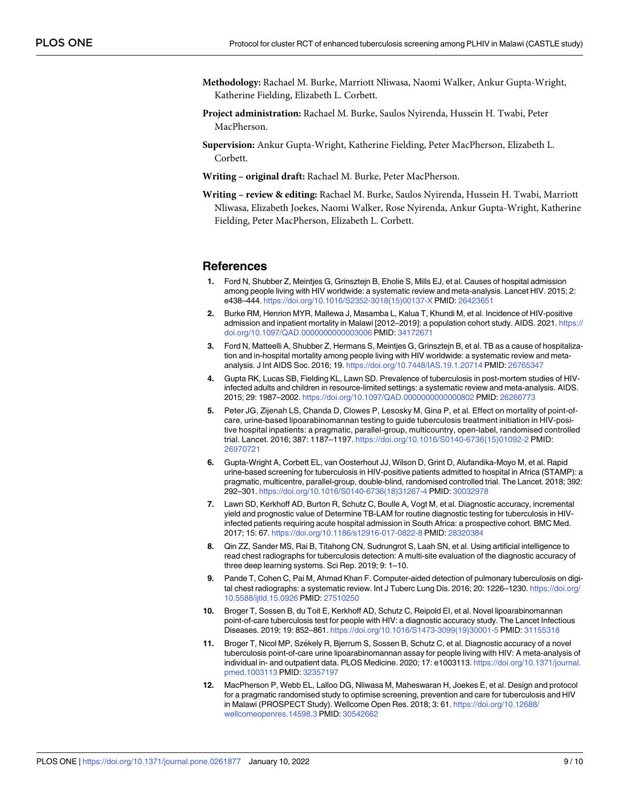- <span id="page-8-0"></span>**Methodology:** Rachael M. Burke, Marriott Nliwasa, Naomi Walker, Ankur Gupta-Wright, Katherine Fielding, Elizabeth L. Corbett.
- **Project administration:** Rachael M. Burke, Saulos Nyirenda, Hussein H. Twabi, Peter MacPherson.
- **Supervision:** Ankur Gupta-Wright, Katherine Fielding, Peter MacPherson, Elizabeth L. Corbett.
- **Writing – original draft:** Rachael M. Burke, Peter MacPherson.
- **Writing – review & editing:** Rachael M. Burke, Saulos Nyirenda, Hussein H. Twabi, Marriott Nliwasa, Elizabeth Joekes, Naomi Walker, Rose Nyirenda, Ankur Gupta-Wright, Katherine Fielding, Peter MacPherson, Elizabeth L. Corbett.

#### **References**

- **[1](#page-1-0).** Ford N, Shubber Z, Meintjes G, Grinsztejn B, Eholie S, Mills EJ, et al. Causes of hospital admission among people living with HIV worldwide: a systematic review and meta-analysis. Lancet HIV. 2015; 2: e438–444. [https://doi.org/10.1016/S2352-3018\(15\)00137-X](https://doi.org/10.1016/S2352-3018%2815%2900137-X) PMID: [26423651](http://www.ncbi.nlm.nih.gov/pubmed/26423651)
- **[2](#page-1-0).** Burke RM, Henrion MYR, Mallewa J, Masamba L, Kalua T, Khundi M, et al. Incidence of HIV-positive admission and inpatient mortality in Malawi [2012–2019]: a population cohort study. AIDS. 2021. [https://](https://doi.org/10.1097/QAD.0000000000003006) [doi.org/10.1097/QAD.0000000000003006](https://doi.org/10.1097/QAD.0000000000003006) PMID: [34172671](http://www.ncbi.nlm.nih.gov/pubmed/34172671)
- **[3](#page-1-0).** Ford N, Matteelli A, Shubber Z, Hermans S, Meintjes G, Grinsztejn B, et al. TB as a cause of hospitalization and in-hospital mortality among people living with HIV worldwide: a systematic review and metaanalysis. J Int AIDS Soc. 2016; 19. <https://doi.org/10.7448/IAS.19.1.20714> PMID: [26765347](http://www.ncbi.nlm.nih.gov/pubmed/26765347)
- **[4](#page-1-0).** Gupta RK, Lucas SB, Fielding KL, Lawn SD. Prevalence of tuberculosis in post-mortem studies of HIVinfected adults and children in resource-limited settings: a systematic review and meta-analysis. AIDS. 2015; 29: 1987–2002. <https://doi.org/10.1097/QAD.0000000000000802> PMID: [26266773](http://www.ncbi.nlm.nih.gov/pubmed/26266773)
- **[5](#page-1-0).** Peter JG, Zijenah LS, Chanda D, Clowes P, Lesosky M, Gina P, et al. Effect on mortality of point-ofcare, urine-based lipoarabinomannan testing to guide tuberculosis treatment initiation in HIV-positive hospital inpatients: a pragmatic, parallel-group, multicountry, open-label, randomised controlled trial. Lancet. 2016; 387: 1187–1197. [https://doi.org/10.1016/S0140-6736\(15\)01092-2](https://doi.org/10.1016/S0140-6736%2815%2901092-2) PMID: [26970721](http://www.ncbi.nlm.nih.gov/pubmed/26970721)
- **[6](#page-1-0).** Gupta-Wright A, Corbett EL, van Oosterhout JJ, Wilson D, Grint D, Alufandika-Moyo M, et al. Rapid urine-based screening for tuberculosis in HIV-positive patients admitted to hospital in Africa (STAMP): a pragmatic, multicentre, parallel-group, double-blind, randomised controlled trial. The Lancet. 2018; 392: 292–301. [https://doi.org/10.1016/S0140-6736\(18\)31267-4](https://doi.org/10.1016/S0140-6736%2818%2931267-4) PMID: [30032978](http://www.ncbi.nlm.nih.gov/pubmed/30032978)
- **[7](#page-1-0).** Lawn SD, Kerkhoff AD, Burton R, Schutz C, Boulle A, Vogt M, et al. Diagnostic accuracy, incremental yield and prognostic value of Determine TB-LAM for routine diagnostic testing for tuberculosis in HIVinfected patients requiring acute hospital admission in South Africa: a prospective cohort. BMC Med. 2017; 15: 67. <https://doi.org/10.1186/s12916-017-0822-8> PMID: [28320384](http://www.ncbi.nlm.nih.gov/pubmed/28320384)
- **[8](#page-1-0).** Qin ZZ, Sander MS, Rai B, Titahong CN, Sudrungrot S, Laah SN, et al. Using artificial intelligence to read chest radiographs for tuberculosis detection: A multi-site evaluation of the diagnostic accuracy of three deep learning systems. Sci Rep. 2019; 9: 1–10.
- **[9](#page-1-0).** Pande T, Cohen C, Pai M, Ahmad Khan F. Computer-aided detection of pulmonary tuberculosis on digital chest radiographs: a systematic review. Int J Tuberc Lung Dis. 2016; 20: 1226–1230. [https://doi.org/](https://doi.org/10.5588/ijtld.15.0926) [10.5588/ijtld.15.0926](https://doi.org/10.5588/ijtld.15.0926) PMID: [27510250](http://www.ncbi.nlm.nih.gov/pubmed/27510250)
- **[10](#page-1-0).** Broger T, Sossen B, du Toit E, Kerkhoff AD, Schutz C, Reipold EI, et al. Novel lipoarabinomannan point-of-care tuberculosis test for people with HIV: a diagnostic accuracy study. The Lancet Infectious Diseases. 2019; 19: 852–861. [https://doi.org/10.1016/S1473-3099\(19\)30001-5](https://doi.org/10.1016/S1473-3099%2819%2930001-5) PMID: [31155318](http://www.ncbi.nlm.nih.gov/pubmed/31155318)
- **[11](#page-1-0).** Broger T, Nicol MP, Székely R, Bjerrum S, Sossen B, Schutz C, et al. Diagnostic accuracy of a novel tuberculosis point-of-care urine lipoarabinomannan assay for people living with HIV: A meta-analysis of individual in- and outpatient data. PLOS Medicine. 2020; 17: e1003113. [https://doi.org/10.1371/journal.](https://doi.org/10.1371/journal.pmed.1003113) [pmed.1003113](https://doi.org/10.1371/journal.pmed.1003113) PMID: [32357197](http://www.ncbi.nlm.nih.gov/pubmed/32357197)
- **[12](#page-2-0).** MacPherson P, Webb EL, Lalloo DG, Nliwasa M, Maheswaran H, Joekes E, et al. Design and protocol for a pragmatic randomised study to optimise screening, prevention and care for tuberculosis and HIV in Malawi (PROSPECT Study). Wellcome Open Res. 2018; 3: 61. [https://doi.org/10.12688/](https://doi.org/10.12688/wellcomeopenres.14598.3) [wellcomeopenres.14598.3](https://doi.org/10.12688/wellcomeopenres.14598.3) PMID: [30542662](http://www.ncbi.nlm.nih.gov/pubmed/30542662)